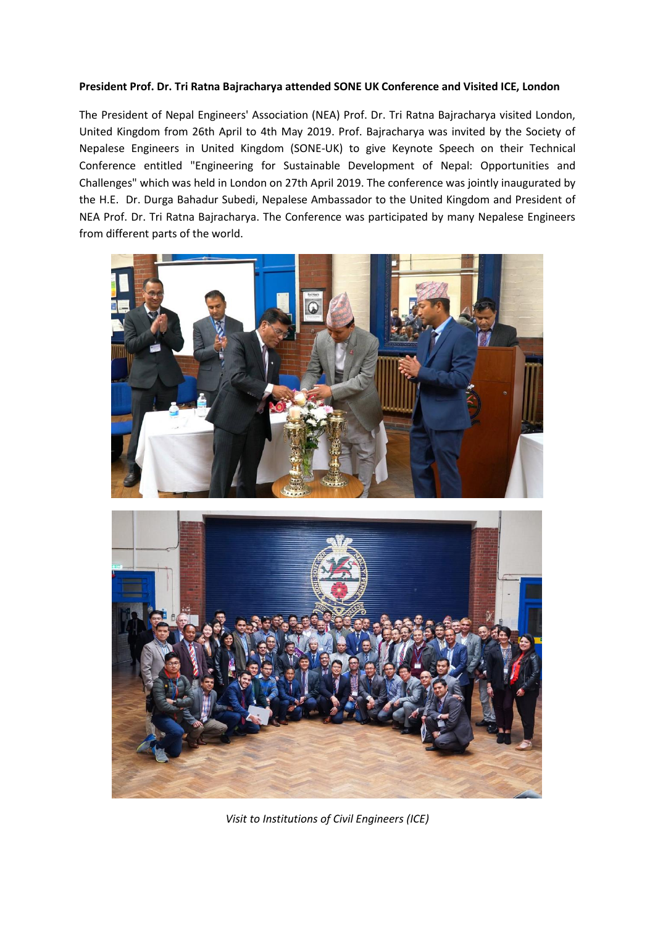## **President Prof. Dr. Tri Ratna Bajracharya attended SONE UK Conference and Visited ICE, London**

The President of Nepal Engineers' Association (NEA) Prof. Dr. Tri Ratna Bajracharya visited London, United Kingdom from 26th April to 4th May 2019. Prof. Bajracharya was invited by the Society of Nepalese Engineers in United Kingdom (SONE-UK) to give Keynote Speech on their Technical Conference entitled "Engineering for Sustainable Development of Nepal: Opportunities and Challenges" which was held in London on 27th April 2019. The conference was jointly inaugurated by the H.E. Dr. Durga Bahadur Subedi, Nepalese Ambassador to the United Kingdom and President of NEA Prof. Dr. Tri Ratna Bajracharya. The Conference was participated by many Nepalese Engineers from different parts of the world.





*Visit to Institutions of Civil Engineers (ICE)*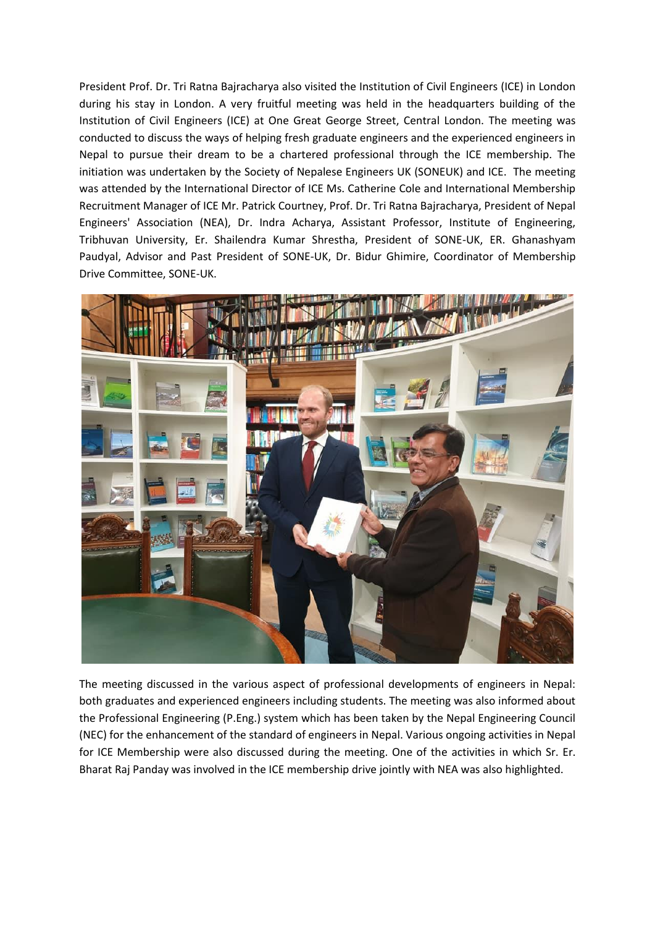President Prof. Dr. Tri Ratna Bajracharya also visited the Institution of Civil Engineers (ICE) in London during his stay in London. A very fruitful meeting was held in the headquarters building of the Institution of Civil Engineers (ICE) at One Great George Street, Central London. The meeting was conducted to discuss the ways of helping fresh graduate engineers and the experienced engineers in Nepal to pursue their dream to be a chartered professional through the ICE membership. The initiation was undertaken by the Society of Nepalese Engineers UK (SONEUK) and ICE. The meeting was attended by the International Director of ICE Ms. Catherine Cole and International Membership Recruitment Manager of ICE Mr. Patrick Courtney, Prof. Dr. Tri Ratna Bajracharya, President of Nepal Engineers' Association (NEA), Dr. Indra Acharya, Assistant Professor, Institute of Engineering, Tribhuvan University, Er. Shailendra Kumar Shrestha, President of SONE-UK, ER. Ghanashyam Paudyal, Advisor and Past President of SONE-UK, Dr. Bidur Ghimire, Coordinator of Membership Drive Committee, SONE-UK.



The meeting discussed in the various aspect of professional developments of engineers in Nepal: both graduates and experienced engineers including students. The meeting was also informed about the Professional Engineering (P.Eng.) system which has been taken by the Nepal Engineering Council (NEC) for the enhancement of the standard of engineers in Nepal. Various ongoing activities in Nepal for ICE Membership were also discussed during the meeting. One of the activities in which Sr. Er. Bharat Raj Panday was involved in the ICE membership drive jointly with NEA was also highlighted.